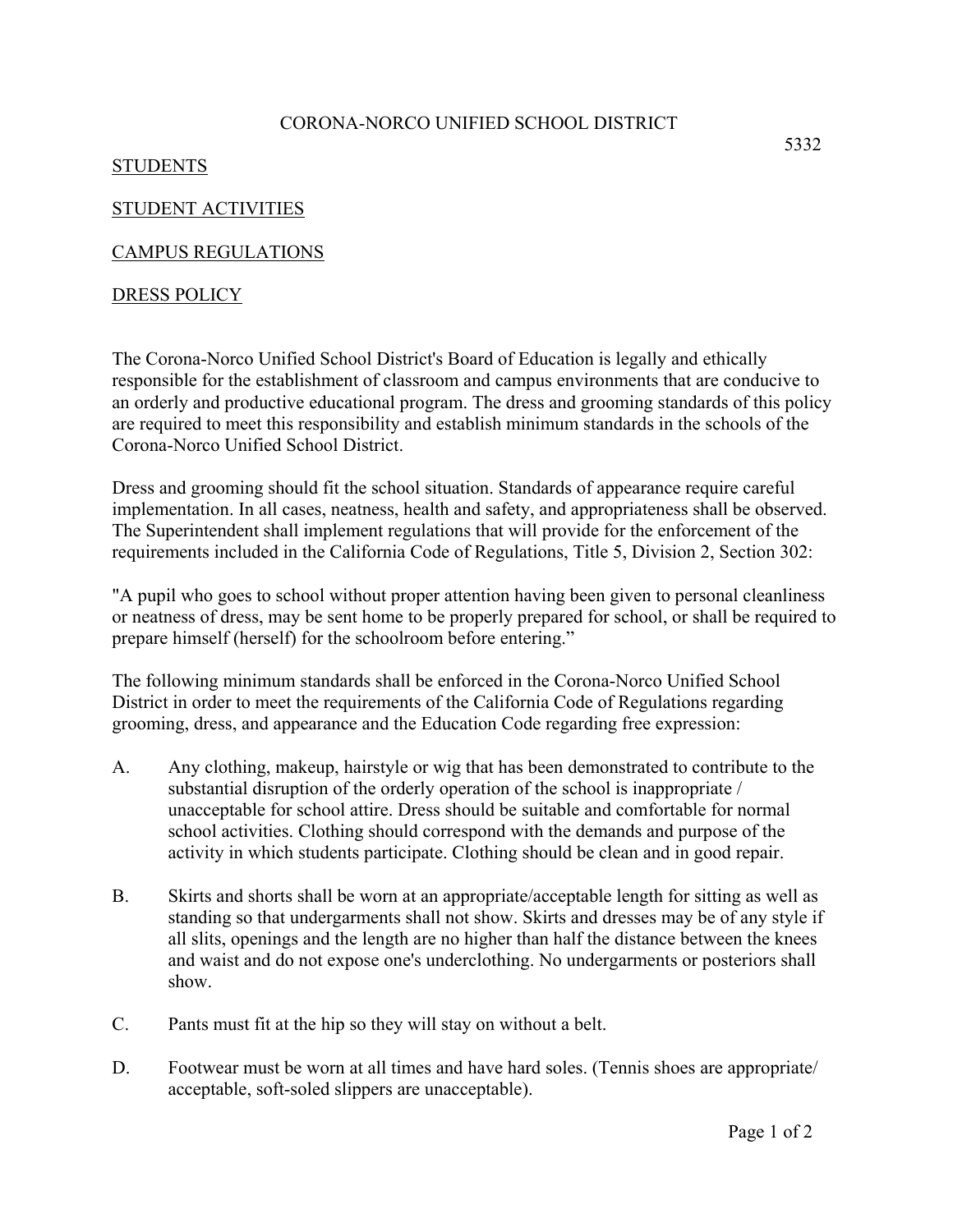#### CORONA-NORCO UNIFIED SCHOOL DISTRICT

# STUDENTS

# STUDENT ACTIVITIES

# CAMPUS REGULATIONS

# DRESS POLICY

The Corona-Norco Unified School District's Board of Education is legally and ethically responsible for the establishment of classroom and campus environments that are conducive to an orderly and productive educational program. The dress and grooming standards of this policy are required to meet this responsibility and establish minimum standards in the schools of the Corona-Norco Unified School District.

Dress and grooming should fit the school situation. Standards of appearance require careful implementation. In all cases, neatness, health and safety, and appropriateness shall be observed. The Superintendent shall implement regulations that will provide for the enforcement of the requirements included in the California Code of Regulations, Title 5, Division 2, Section 302:

"A pupil who goes to school without proper attention having been given to personal cleanliness or neatness of dress, may be sent home to be properly prepared for school, or shall be required to prepare himself (herself) for the schoolroom before entering."

The following minimum standards shall be enforced in the Corona-Norco Unified School District in order to meet the requirements of the California Code of Regulations regarding grooming, dress, and appearance and the Education Code regarding free expression:

- A. Any clothing, makeup, hairstyle or wig that has been demonstrated to contribute to the substantial disruption of the orderly operation of the school is inappropriate / unacceptable for school attire. Dress should be suitable and comfortable for normal school activities. Clothing should correspond with the demands and purpose of the activity in which students participate. Clothing should be clean and in good repair.
- B. Skirts and shorts shall be worn at an appropriate/acceptable length for sitting as well as standing so that undergarments shall not show. Skirts and dresses may be of any style if all slits, openings and the length are no higher than half the distance between the knees and waist and do not expose one's underclothing. No undergarments or posteriors shall show.
- C. Pants must fit at the hip so they will stay on without a belt.
- D. Footwear must be worn at all times and have hard soles. (Tennis shoes are appropriate/ acceptable, soft-soled slippers are unacceptable).